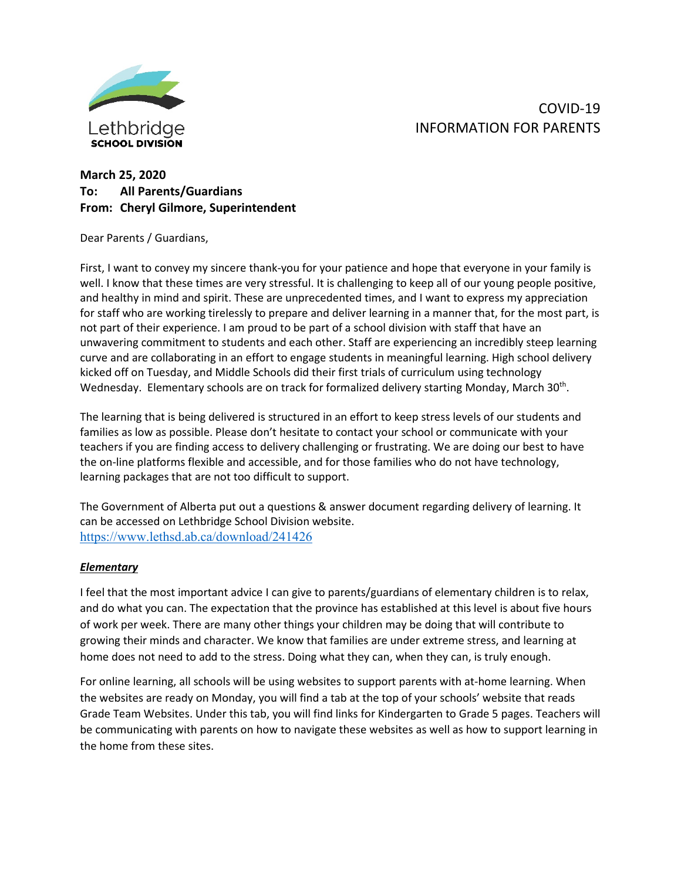

# COVID-19 INFORMATION FOR PARENTS

# **March 25, 2020 To: All Parents/Guardians From: Cheryl Gilmore, Superintendent**

Dear Parents / Guardians,

First, I want to convey my sincere thank-you for your patience and hope that everyone in your family is well. I know that these times are very stressful. It is challenging to keep all of our young people positive, and healthy in mind and spirit. These are unprecedented times, and I want to express my appreciation for staff who are working tirelessly to prepare and deliver learning in a manner that, for the most part, is not part of their experience. I am proud to be part of a school division with staff that have an unwavering commitment to students and each other. Staff are experiencing an incredibly steep learning curve and are collaborating in an effort to engage students in meaningful learning. High school delivery kicked off on Tuesday, and Middle Schools did their first trials of curriculum using technology Wednesday. Elementary schools are on track for formalized delivery starting Monday, March 30<sup>th</sup>.

The learning that is being delivered is structured in an effort to keep stress levels of our students and families as low as possible. Please don't hesitate to contact your school or communicate with your teachers if you are finding access to delivery challenging or frustrating. We are doing our best to have the on-line platforms flexible and accessible, and for those families who do not have technology, learning packages that are not too difficult to support.

The Government of Alberta put out a questions & answer document regarding delivery of learning. It can be accessed on Lethbridge School Division website. <https://www.lethsd.ab.ca/download/241426>

# *Elementary*

I feel that the most important advice I can give to parents/guardians of elementary children is to relax, and do what you can. The expectation that the province has established at this level is about five hours of work per week. There are many other things your children may be doing that will contribute to growing their minds and character. We know that families are under extreme stress, and learning at home does not need to add to the stress. Doing what they can, when they can, is truly enough.

For online learning, all schools will be using websites to support parents with at-home learning. When the websites are ready on Monday, you will find a tab at the top of your schools' website that reads Grade Team Websites. Under this tab, you will find links for Kindergarten to Grade 5 pages. Teachers will be communicating with parents on how to navigate these websites as well as how to support learning in the home from these sites.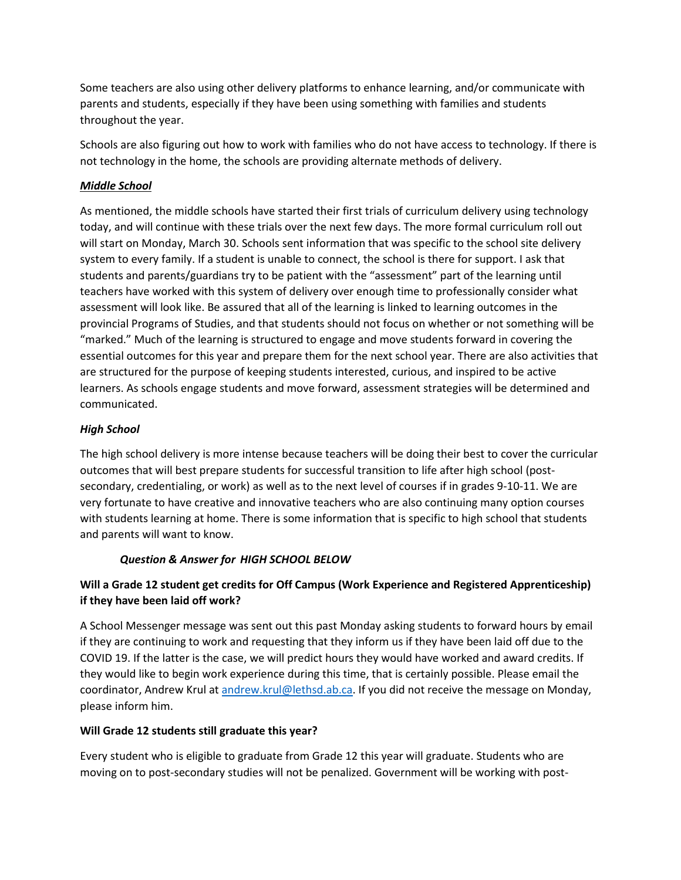Some teachers are also using other delivery platforms to enhance learning, and/or communicate with parents and students, especially if they have been using something with families and students throughout the year.

Schools are also figuring out how to work with families who do not have access to technology. If there is not technology in the home, the schools are providing alternate methods of delivery.

# *Middle School*

As mentioned, the middle schools have started their first trials of curriculum delivery using technology today, and will continue with these trials over the next few days. The more formal curriculum roll out will start on Monday, March 30. Schools sent information that was specific to the school site delivery system to every family. If a student is unable to connect, the school is there for support. I ask that students and parents/guardians try to be patient with the "assessment" part of the learning until teachers have worked with this system of delivery over enough time to professionally consider what assessment will look like. Be assured that all of the learning is linked to learning outcomes in the provincial Programs of Studies, and that students should not focus on whether or not something will be "marked." Much of the learning is structured to engage and move students forward in covering the essential outcomes for this year and prepare them for the next school year. There are also activities that are structured for the purpose of keeping students interested, curious, and inspired to be active learners. As schools engage students and move forward, assessment strategies will be determined and communicated.

#### *High School*

The high school delivery is more intense because teachers will be doing their best to cover the curricular outcomes that will best prepare students for successful transition to life after high school (postsecondary, credentialing, or work) as well as to the next level of courses if in grades 9-10-11. We are very fortunate to have creative and innovative teachers who are also continuing many option courses with students learning at home. There is some information that is specific to high school that students and parents will want to know.

# *Question & Answer for HIGH SCHOOL BELOW*

# **Will a Grade 12 student get credits for Off Campus (Work Experience and Registered Apprenticeship) if they have been laid off work?**

A School Messenger message was sent out this past Monday asking students to forward hours by email if they are continuing to work and requesting that they inform us if they have been laid off due to the COVID 19. If the latter is the case, we will predict hours they would have worked and award credits. If they would like to begin work experience during this time, that is certainly possible. Please email the coordinator, Andrew Krul at [andrew.krul@lethsd.ab.ca.](mailto:andrew.krul@lethsd.ab.ca) If you did not receive the message on Monday, please inform him.

#### **Will Grade 12 students still graduate this year?**

Every student who is eligible to graduate from Grade 12 this year will graduate. Students who are moving on to post-secondary studies will not be penalized. Government will be working with post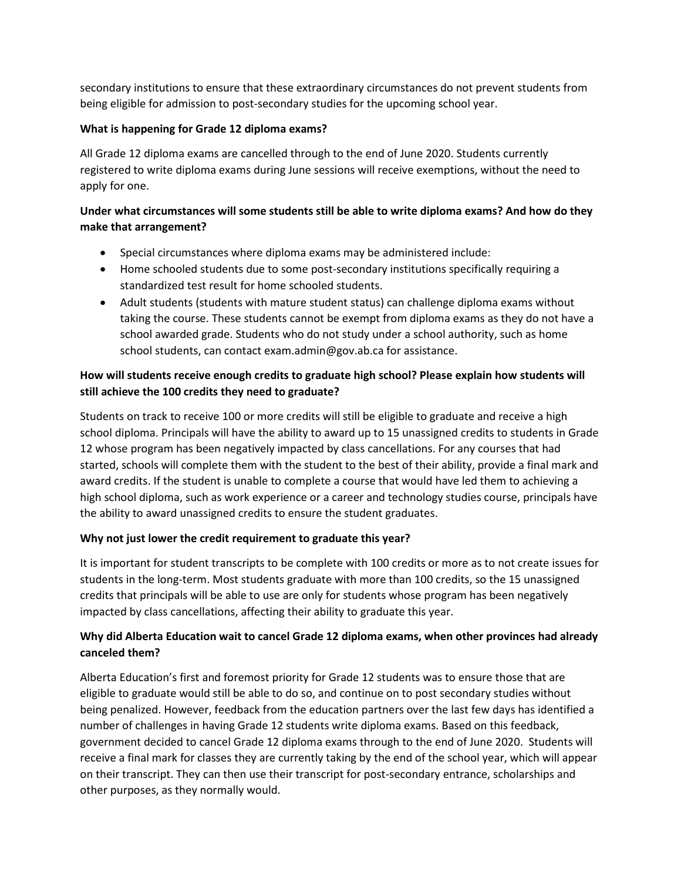secondary institutions to ensure that these extraordinary circumstances do not prevent students from being eligible for admission to post-secondary studies for the upcoming school year.

#### **What is happening for Grade 12 diploma exams?**

All Grade 12 diploma exams are cancelled through to the end of June 2020. Students currently registered to write diploma exams during June sessions will receive exemptions, without the need to apply for one.

# **Under what circumstances will some students still be able to write diploma exams? And how do they make that arrangement?**

- Special circumstances where diploma exams may be administered include:
- Home schooled students due to some post-secondary institutions specifically requiring a standardized test result for home schooled students.
- Adult students (students with mature student status) can challenge diploma exams without taking the course. These students cannot be exempt from diploma exams as they do not have a school awarded grade. Students who do not study under a school authority, such as home school students, can contact exam.admin@gov.ab.ca for assistance.

# **How will students receive enough credits to graduate high school? Please explain how students will still achieve the 100 credits they need to graduate?**

Students on track to receive 100 or more credits will still be eligible to graduate and receive a high school diploma. Principals will have the ability to award up to 15 unassigned credits to students in Grade 12 whose program has been negatively impacted by class cancellations. For any courses that had started, schools will complete them with the student to the best of their ability, provide a final mark and award credits. If the student is unable to complete a course that would have led them to achieving a high school diploma, such as work experience or a career and technology studies course, principals have the ability to award unassigned credits to ensure the student graduates.

# **Why not just lower the credit requirement to graduate this year?**

It is important for student transcripts to be complete with 100 credits or more as to not create issues for students in the long-term. Most students graduate with more than 100 credits, so the 15 unassigned credits that principals will be able to use are only for students whose program has been negatively impacted by class cancellations, affecting their ability to graduate this year.

# **Why did Alberta Education wait to cancel Grade 12 diploma exams, when other provinces had already canceled them?**

Alberta Education's first and foremost priority for Grade 12 students was to ensure those that are eligible to graduate would still be able to do so, and continue on to post secondary studies without being penalized. However, feedback from the education partners over the last few days has identified a number of challenges in having Grade 12 students write diploma exams. Based on this feedback, government decided to cancel Grade 12 diploma exams through to the end of June 2020. Students will receive a final mark for classes they are currently taking by the end of the school year, which will appear on their transcript. They can then use their transcript for post-secondary entrance, scholarships and other purposes, as they normally would.